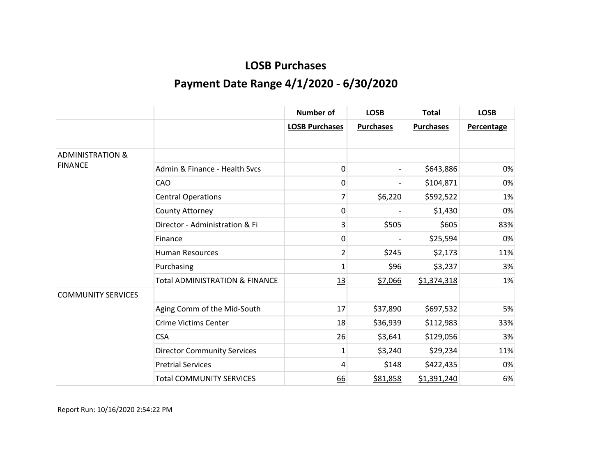|                             |                                           | <b>Number of</b>      | <b>LOSB</b>      | <b>Total</b>     | <b>LOSB</b>       |
|-----------------------------|-------------------------------------------|-----------------------|------------------|------------------|-------------------|
|                             |                                           | <b>LOSB Purchases</b> | <b>Purchases</b> | <b>Purchases</b> | <b>Percentage</b> |
|                             |                                           |                       |                  |                  |                   |
| <b>ADMINISTRATION &amp;</b> |                                           |                       |                  |                  |                   |
| <b>FINANCE</b>              | Admin & Finance - Health Sycs             | 0                     |                  | \$643,886        | 0%                |
|                             | CAO                                       | 0                     |                  | \$104,871        | 0%                |
|                             | <b>Central Operations</b>                 | 7                     | \$6,220          | \$592,522        | 1%                |
|                             | County Attorney                           | 0                     |                  | \$1,430          | 0%                |
|                             | Director - Administration & Fi            | 3                     | \$505            | \$605            | 83%               |
|                             | Finance                                   | 0                     |                  | \$25,594         | 0%                |
|                             | <b>Human Resources</b>                    | 2                     | \$245            | \$2,173          | 11%               |
|                             | Purchasing                                | $\mathbf{1}$          | \$96             | \$3,237          | 3%                |
|                             | <b>Total ADMINISTRATION &amp; FINANCE</b> | 13                    | \$7,066          | \$1,374,318      | 1%                |
| <b>COMMUNITY SERVICES</b>   |                                           |                       |                  |                  |                   |
|                             | Aging Comm of the Mid-South               | 17                    | \$37,890         | \$697,532        | 5%                |
|                             | <b>Crime Victims Center</b>               | 18                    | \$36,939         | \$112,983        | 33%               |
|                             | <b>CSA</b>                                | 26                    | \$3,641          | \$129,056        | 3%                |
|                             | <b>Director Community Services</b>        | 1                     | \$3,240          | \$29,234         | 11%               |
|                             | <b>Pretrial Services</b>                  | 4                     | \$148            | \$422,435        | 0%                |
|                             | <b>Total COMMUNITY SERVICES</b>           | 66                    | \$81,858         | \$1,391,240      | 6%                |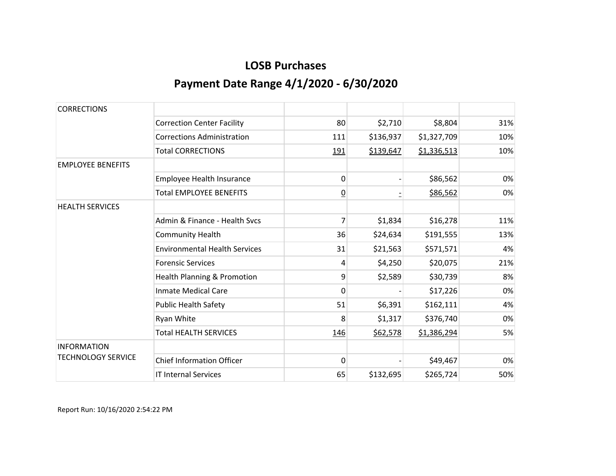| <b>CORRECTIONS</b>        |                                        |                |           |             |     |
|---------------------------|----------------------------------------|----------------|-----------|-------------|-----|
|                           | <b>Correction Center Facility</b>      | 80             | \$2,710   | \$8,804     | 31% |
|                           | <b>Corrections Administration</b>      | 111            | \$136,937 | \$1,327,709 | 10% |
|                           | <b>Total CORRECTIONS</b>               | 191            | \$139,647 | \$1,336,513 | 10% |
| <b>EMPLOYEE BENEFITS</b>  |                                        |                |           |             |     |
|                           | Employee Health Insurance              | 0              |           | \$86,562    | 0%  |
|                           | <b>Total EMPLOYEE BENEFITS</b>         | $\overline{0}$ |           | \$86,562    | 0%  |
| <b>HEALTH SERVICES</b>    |                                        |                |           |             |     |
|                           | Admin & Finance - Health Sycs          | 7              | \$1,834   | \$16,278    | 11% |
|                           | <b>Community Health</b>                | 36             | \$24,634  | \$191,555   | 13% |
|                           | <b>Environmental Health Services</b>   | 31             | \$21,563  | \$571,571   | 4%  |
|                           | <b>Forensic Services</b>               | 4              | \$4,250   | \$20,075    | 21% |
|                           | <b>Health Planning &amp; Promotion</b> | 9              | \$2,589   | \$30,739    | 8%  |
|                           | <b>Inmate Medical Care</b>             | 0              |           | \$17,226    | 0%  |
|                           | <b>Public Health Safety</b>            | 51             | \$6,391   | \$162,111   | 4%  |
|                           | Ryan White                             | 8              | \$1,317   | \$376,740   | 0%  |
|                           | <b>Total HEALTH SERVICES</b>           | 146            | \$62,578  | \$1,386,294 | 5%  |
| <b>INFORMATION</b>        |                                        |                |           |             |     |
| <b>TECHNOLOGY SERVICE</b> | <b>Chief Information Officer</b>       | $\Omega$       |           | \$49,467    | 0%  |
|                           | <b>IT Internal Services</b>            | 65             | \$132,695 | \$265,724   | 50% |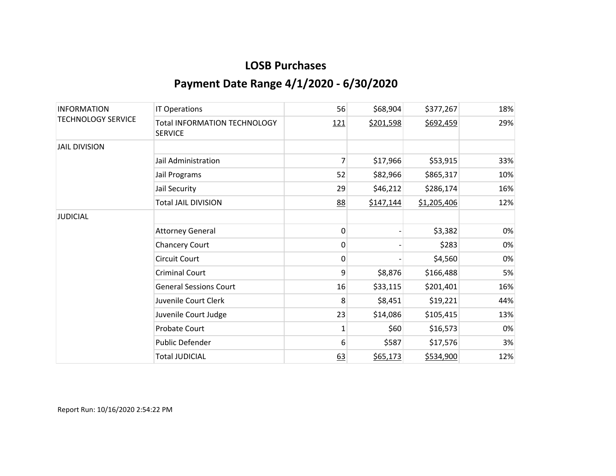| <b>INFORMATION</b><br><b>TECHNOLOGY SERVICE</b> | <b>IT Operations</b>                                  | 56         | \$68,904  | \$377,267   | 18% |
|-------------------------------------------------|-------------------------------------------------------|------------|-----------|-------------|-----|
|                                                 | <b>Total INFORMATION TECHNOLOGY</b><br><b>SERVICE</b> | <u>121</u> | \$201,598 | \$692,459   | 29% |
| <b>JAIL DIVISION</b>                            |                                                       |            |           |             |     |
|                                                 | Jail Administration                                   | 7          | \$17,966  | \$53,915    | 33% |
|                                                 | Jail Programs                                         | 52         | \$82,966  | \$865,317   | 10% |
|                                                 | Jail Security                                         | 29         | \$46,212  | \$286,174   | 16% |
|                                                 | <b>Total JAIL DIVISION</b>                            | 88         | \$147,144 | \$1,205,406 | 12% |
| <b>JUDICIAL</b>                                 |                                                       |            |           |             |     |
|                                                 | <b>Attorney General</b>                               | 0          |           | \$3,382     | 0%  |
|                                                 | <b>Chancery Court</b>                                 | 0          |           | \$283       | 0%  |
|                                                 | <b>Circuit Court</b>                                  | 0          |           | \$4,560     | 0%  |
|                                                 | <b>Criminal Court</b>                                 | 9          | \$8,876   | \$166,488   | 5%  |
|                                                 | <b>General Sessions Court</b>                         | 16         | \$33,115  | \$201,401   | 16% |
|                                                 | Juvenile Court Clerk                                  | 8          | \$8,451   | \$19,221    | 44% |
|                                                 | Juvenile Court Judge                                  | 23         | \$14,086  | \$105,415   | 13% |
|                                                 | Probate Court                                         | 1          | \$60      | \$16,573    | 0%  |
|                                                 | Public Defender                                       | 6          | \$587     | \$17,576    | 3%  |
|                                                 | <b>Total JUDICIAL</b>                                 | 63         | \$65,173  | \$534,900   | 12% |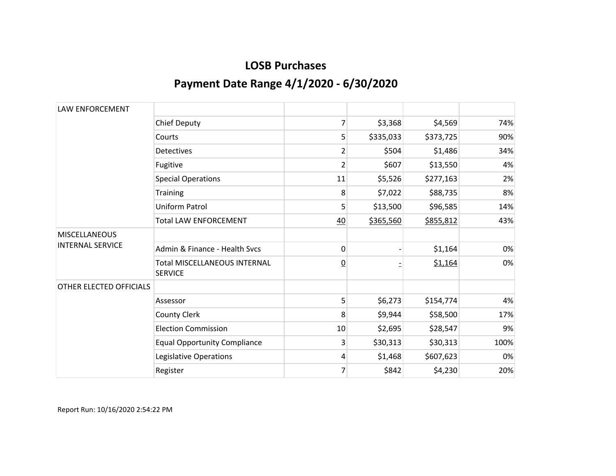| <b>LAW ENFORCEMENT</b>                          |                                                       |                |           |           |      |
|-------------------------------------------------|-------------------------------------------------------|----------------|-----------|-----------|------|
|                                                 | <b>Chief Deputy</b>                                   | 7              | \$3,368   | \$4,569   | 74%  |
|                                                 | Courts                                                | 5              | \$335,033 | \$373,725 | 90%  |
|                                                 | <b>Detectives</b>                                     | 2              | \$504     | \$1,486   | 34%  |
|                                                 | Fugitive                                              | $\overline{2}$ | \$607     | \$13,550  | 4%   |
|                                                 | <b>Special Operations</b>                             | 11             | \$5,526   | \$277,163 | 2%   |
|                                                 | Training                                              | 8              | \$7,022   | \$88,735  | 8%   |
|                                                 | Uniform Patrol                                        | 5              | \$13,500  | \$96,585  | 14%  |
|                                                 | <b>Total LAW ENFORCEMENT</b>                          | $\frac{40}{1}$ | \$365,560 | \$855,812 | 43%  |
| <b>MISCELLANEOUS</b><br><b>INTERNAL SERVICE</b> |                                                       |                |           |           |      |
|                                                 | Admin & Finance - Health Sycs                         | 0              |           | \$1,164   | 0%   |
|                                                 | <b>Total MISCELLANEOUS INTERNAL</b><br><b>SERVICE</b> | $\overline{0}$ |           | \$1,164   | 0%   |
| OTHER ELECTED OFFICIALS                         |                                                       |                |           |           |      |
|                                                 | Assessor                                              | 5              | \$6,273   | \$154,774 | 4%   |
|                                                 | <b>County Clerk</b>                                   | 8              | \$9,944   | \$58,500  | 17%  |
|                                                 | <b>Election Commission</b>                            | 10             | \$2,695   | \$28,547  | 9%   |
|                                                 | <b>Equal Opportunity Compliance</b>                   | 3              | \$30,313  | \$30,313  | 100% |
|                                                 | Legislative Operations                                | 4              | \$1,468   | \$607,623 | 0%   |
|                                                 | Register                                              | 7              | \$842     | \$4,230   | 20%  |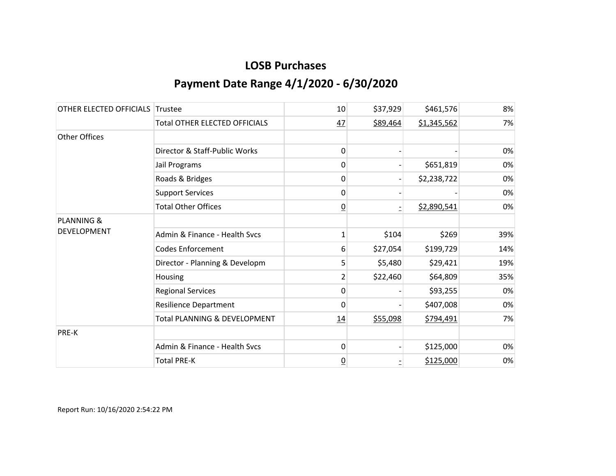| OTHER ELECTED OFFICIALS Trustee |                                      | 10              | \$37,929 | \$461,576   | 8%  |
|---------------------------------|--------------------------------------|-----------------|----------|-------------|-----|
|                                 | <b>Total OTHER ELECTED OFFICIALS</b> | 47              | \$89,464 | \$1,345,562 | 7%  |
| Other Offices                   |                                      |                 |          |             |     |
|                                 | Director & Staff-Public Works        | 0               |          |             | 0%  |
|                                 | Jail Programs                        | 0               |          | \$651,819   | 0%  |
|                                 | Roads & Bridges                      | 0               |          | \$2,238,722 | 0%  |
|                                 | <b>Support Services</b>              | 0               |          |             | 0%  |
|                                 | <b>Total Other Offices</b>           | $\overline{0}$  |          | \$2,890,541 | 0%  |
| <b>PLANNING &amp;</b>           |                                      |                 |          |             |     |
| <b>DEVELOPMENT</b>              | Admin & Finance - Health Svcs        | 1               | \$104    | \$269       | 39% |
|                                 | <b>Codes Enforcement</b>             | 6               | \$27,054 | \$199,729   | 14% |
|                                 | Director - Planning & Developm       | 5               | \$5,480  | \$29,421    | 19% |
|                                 | Housing                              | $\overline{2}$  | \$22,460 | \$64,809    | 35% |
|                                 | <b>Regional Services</b>             | 0               |          | \$93,255    | 0%  |
|                                 | <b>Resilience Department</b>         | $\Omega$        |          | \$407,008   | 0%  |
|                                 | Total PLANNING & DEVELOPMENT         | 14              | \$55,098 | \$794,491   | 7%  |
| PRE-K                           |                                      |                 |          |             |     |
|                                 | Admin & Finance - Health Svcs        | 0               |          | \$125,000   | 0%  |
|                                 | <b>Total PRE-K</b>                   | $\underline{0}$ |          | \$125,000   | 0%  |